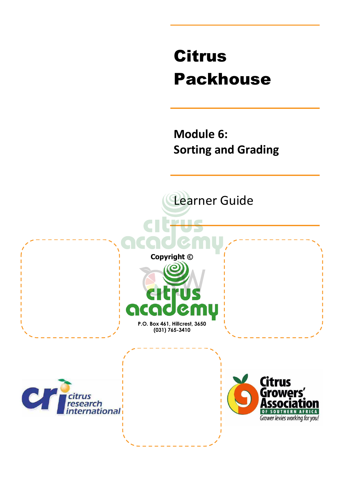# Citrus Packhouse

**Module 6: Sorting and Grading** 

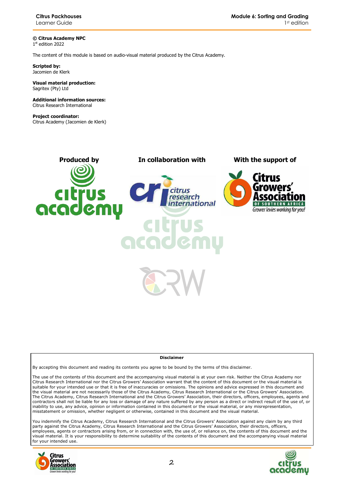**© Citrus Academy NPC**  1 st edition 2022

The content of this module is based on audio-visual material produced by the Citrus Academy.

**Scripted by:**  Jacomien de Klerk

#### **Visual material production:**  Sagritex (Pty) Ltd

**Additional information sources:**  Citrus Research International

**Project coordinator:** Citrus Academy (Jacomien de Klerk)



#### **Disclaimer**

By accepting this document and reading its contents you agree to be bound by the terms of this disclaimer.

The use of the contents of this document and the accompanying visual material is at your own risk. Neither the Citrus Academy nor Citrus Research International nor the Citrus Growers' Association warrant that the content of this document or the visual material is suitable for your intended use or that it is free of inaccuracies or omissions. The opinions and advice expressed in this document and the visual material are not necessarily those of the Citrus Academy, Citrus Research International or the Citrus Growers' Association. The Citrus Academy, Citrus Research International and the Citrus Growers' Association, their directors, officers, employees, agents and contractors shall not be liable for any loss or damage of any nature suffered by any person as a direct or indirect result of the use of, or inability to use, any advice, opinion or information contained in this document or the visual material, or any misrepresentation, misstatement or omission, whether negligent or otherwise, contained in this document and the visual material.

You indemnify the Citrus Academy, Citrus Research International and the Citrus Growers' Association against any claim by any third party against the Citrus Academy, Citrus Research International and the Citrus Growers' Association, their directors, officers, employees, agents or contractors arising from, or in connection with, the use of, or reliance on, the contents of this document and the visual material. It is your responsibility to determine suitability of the contents of this document and the accompanying visual material for your intended use.



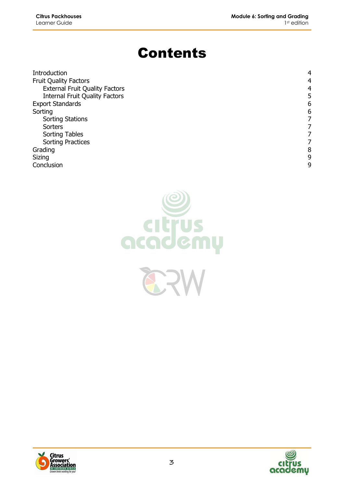# Contents

| Introduction                          | 4 |
|---------------------------------------|---|
| <b>Fruit Quality Factors</b>          | 4 |
| <b>External Fruit Quality Factors</b> | 4 |
| <b>Internal Fruit Quality Factors</b> | 5 |
| <b>Export Standards</b>               | 6 |
| Sorting                               | 6 |
| <b>Sorting Stations</b>               |   |
| Sorters                               |   |
| <b>Sorting Tables</b>                 |   |
| <b>Sorting Practices</b>              |   |
| Grading                               | 8 |
| Sizing                                | 9 |
| Conclusion                            | 9 |





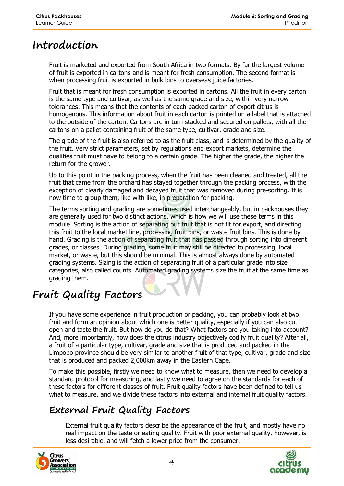### **Introduction**

Fruit is marketed and exported from South Africa in two formats. By far the largest volume of fruit is exported in cartons and is meant for fresh consumption. The second format is when processing fruit is exported in bulk bins to overseas juice factories.

Fruit that is meant for fresh consumption is exported in cartons. All the fruit in every carton is the same type and cultivar, as well as the same grade and size, within very narrow tolerances. This means that the contents of each packed carton of export citrus is homogenous. This information about fruit in each carton is printed on a label that is attached to the outside of the carton. Cartons are in turn stacked and secured on pallets, with all the cartons on a pallet containing fruit of the same type, cultivar, grade and size.

The grade of the fruit is also referred to as the fruit class, and is determined by the quality of the fruit. Very strict parameters, set by regulations and export markets, determine the qualities fruit must have to belong to a certain grade. The higher the grade, the higher the return for the grower.

Up to this point in the packing process, when the fruit has been cleaned and treated, all the fruit that came from the orchard has stayed together through the packing process, with the exception of clearly damaged and decayed fruit that was removed during pre-sorting. It is now time to group them, like with like, in preparation for packing.

The terms sorting and grading are sometimes used interchangeably, but in packhouses they are generally used for two distinct actions, which is how we will use these terms in this module. Sorting is the action of separating out fruit that is not fit for export, and directing this fruit to the local market line, processing fruit bins, or waste fruit bins. This is done by hand. Grading is the action of separating fruit that has passed through sorting into different grades, or classes. During grading, some fruit may still be directed to processing, local market, or waste, but this should be minimal. This is almost always done by automated grading systems. Sizing is the action of separating fruit of a particular grade into size categories, also called counts. Automated grading systems size the fruit at the same time as grading them.

# **Fruit Quality Factors**

If you have some experience in fruit production or packing, you can probably look at two fruit and form an opinion about which one is better quality, especially if you can also cut open and taste the fruit. But how do you do that? What factors are you taking into account? And, more importantly, how does the citrus industry objectively codify fruit quality? After all, a fruit of a particular type, cultivar, grade and size that is produced and packed in the Limpopo province should be very similar to another fruit of that type, cultivar, grade and size that is produced and packed 2,000km away in the Eastern Cape.

To make this possible, firstly we need to know what to measure, then we need to develop a standard protocol for measuring, and lastly we need to agree on the standards for each of these factors for different classes of fruit. Fruit quality factors have been defined to tell us what to measure, and we divide these factors into external and internal fruit quality factors.

### **External Fruit Quality Factors**

External fruit quality factors describe the appearance of the fruit, and mostly have no real impact on the taste or eating quality. Fruit with poor external quality, however, is less desirable, and will fetch a lower price from the consumer.



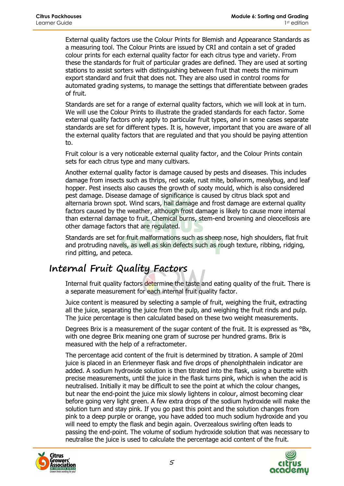External quality factors use the Colour Prints for Blemish and Appearance Standards as a measuring tool. The Colour Prints are issued by CRI and contain a set of graded colour prints for each external quality factor for each citrus type and variety. From these the standards for fruit of particular grades are defined. They are used at sorting stations to assist sorters with distinguishing between fruit that meets the minimum export standard and fruit that does not. They are also used in control rooms for automated grading systems, to manage the settings that differentiate between grades of fruit.

Standards are set for a range of external quality factors, which we will look at in turn. We will use the Colour Prints to illustrate the graded standards for each factor. Some external quality factors only apply to particular fruit types, and in some cases separate standards are set for different types. It is, however, important that you are aware of all the external quality factors that are regulated and that you should be paying attention to.

Fruit colour is a very noticeable external quality factor, and the Colour Prints contain sets for each citrus type and many cultivars.

Another external quality factor is damage caused by pests and diseases. This includes damage from insects such as thrips, red scale, rust mite, bollworm, mealybug, and leaf hopper. Pest insects also causes the growth of sooty mould, which is also considered pest damage. Disease damage of significance is caused by citrus black spot and alternaria brown spot. Wind scars, hail damage and frost damage are external quality factors caused by the weather, although frost damage is likely to cause more internal than external damage to fruit. Chemical burns, stem-end browning and oleocellosis are other damage factors that are regulated.

Standards are set for fruit malformations such as sheep nose, high shoulders, flat fruit and protruding navels, as well as skin defects such as rough texture, ribbing, ridging, rind pitting, and peteca.

#### **Internal Fruit Quality Factors**

Internal fruit quality factors determine the taste and eating quality of the fruit. There is a separate measurement for each internal fruit quality factor.

Juice content is measured by selecting a sample of fruit, weighing the fruit, extracting all the juice, separating the juice from the pulp, and weighing the fruit rinds and pulp. The juice percentage is then calculated based on these two weight measurements.

Degrees Brix is a measurement of the sugar content of the fruit. It is expressed as <sup>o</sup>Bx, with one degree Brix meaning one gram of sucrose per hundred grams. Brix is measured with the help of a refractometer.

The percentage acid content of the fruit is determined by titration. A sample of 20ml juice is placed in an Erlenmeyer flask and five drops of phenolphthalein indicator are added. A sodium hydroxide solution is then titrated into the flask, using a burette with precise measurements, until the juice in the flask turns pink, which is when the acid is neutralised. Initially it may be difficult to see the point at which the colour changes, but near the end-point the juice mix slowly lightens in colour, almost becoming clear before going very light green. A few extra drops of the sodium hydroxide will make the solution turn and stay pink. If you go past this point and the solution changes from pink to a deep purple or orange, you have added too much sodium hydroxide and you will need to empty the flask and begin again. Overzealous swirling often leads to passing the end-point. The volume of sodium hydroxide solution that was necessary to neutralise the juice is used to calculate the percentage acid content of the fruit.



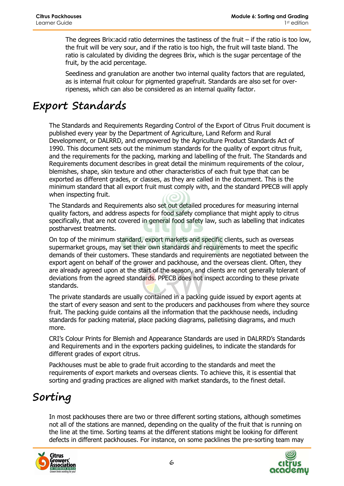The degrees Brix: acid ratio determines the tastiness of the fruit  $-$  if the ratio is too low, the fruit will be very sour, and if the ratio is too high, the fruit will taste bland. The ratio is calculated by dividing the degrees Brix, which is the sugar percentage of the fruit, by the acid percentage.

Seediness and granulation are another two internal quality factors that are regulated, as is internal fruit colour for pigmented grapefruit. Standards are also set for overripeness, which can also be considered as an internal quality factor.

# **Export Standards**

The Standards and Requirements Regarding Control of the Export of Citrus Fruit document is published every year by the Department of Agriculture, Land Reform and Rural Development, or DALRRD, and empowered by the Agriculture Product Standards Act of 1990. This document sets out the minimum standards for the quality of export citrus fruit, and the requirements for the packing, marking and labelling of the fruit. The Standards and Requirements document describes in great detail the minimum requirements of the colour, blemishes, shape, skin texture and other characteristics of each fruit type that can be exported as different grades, or classes, as they are called in the document. This is the minimum standard that all export fruit must comply with, and the standard PPECB will apply when inspecting fruit.

The Standards and Requirements also set out detailed procedures for measuring internal quality factors, and address aspects for food safety compliance that might apply to citrus specifically, that are not covered in general food safety law, such as labelling that indicates postharvest treatments.

On top of the minimum standard, export markets and specific clients, such as overseas supermarket groups, may set their own standards and requirements to meet the specific demands of their customers. These standards and requirements are negotiated between the export agent on behalf of the grower and packhouse, and the overseas client. Often, they are already agreed upon at the start of the season, and clients are not generally tolerant of deviations from the agreed standards. PPECB does not inspect according to these private standards.

The private standards are usually contained in a packing guide issued by export agents at the start of every season and sent to the producers and packhouses from where they source fruit. The packing guide contains all the information that the packhouse needs, including standards for packing material, place packing diagrams, palletising diagrams, and much more.

CRI's Colour Prints for Blemish and Appearance Standards are used in DALRRD's Standards and Requirements and in the exporters packing guidelines, to indicate the standards for different grades of export citrus.

Packhouses must be able to grade fruit according to the standards and meet the requirements of export markets and overseas clients. To achieve this, it is essential that sorting and grading practices are aligned with market standards, to the finest detail.

# **Sorting**

In most packhouses there are two or three different sorting stations, although sometimes not all of the stations are manned, depending on the quality of the fruit that is running on the line at the time. Sorting teams at the different stations might be looking for different defects in different packhouses. For instance, on some packlines the pre-sorting team may



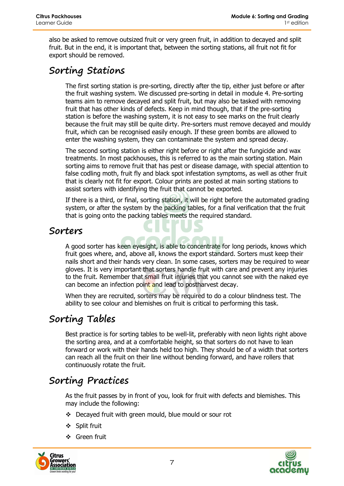also be asked to remove outsized fruit or very green fruit, in addition to decayed and split fruit. But in the end, it is important that, between the sorting stations, all fruit not fit for export should be removed.

### **Sorting Stations**

The first sorting station is pre-sorting, directly after the tip, either just before or after the fruit washing system. We discussed pre-sorting in detail in module 4. Pre-sorting teams aim to remove decayed and split fruit, but may also be tasked with removing fruit that has other kinds of defects. Keep in mind though, that if the pre-sorting station is before the washing system, it is not easy to see marks on the fruit clearly because the fruit may still be quite dirty. Pre-sorters must remove decayed and mouldy fruit, which can be recognised easily enough. If these green bombs are allowed to enter the washing system, they can contaminate the system and spread decay.

The second sorting station is either right before or right after the fungicide and wax treatments. In most packhouses, this is referred to as the main sorting station. Main sorting aims to remove fruit that has pest or disease damage, with special attention to false codling moth, fruit fly and black spot infestation symptoms, as well as other fruit that is clearly not fit for export. Colour prints are posted at main sorting stations to assist sorters with identifying the fruit that cannot be exported.

If there is a third, or final, sorting station, it will be right before the automated grading system, or after the system by the packing tables, for a final verification that the fruit that is going onto the packing tables meets the required standard.

#### **Sorters**

A good sorter has keen eyesight, is able to concentrate for long periods, knows which fruit goes where, and, above all, knows the export standard. Sorters must keep their nails short and their hands very clean. In some cases, sorters may be required to wear gloves. It is very important that sorters handle fruit with care and prevent any injuries to the fruit. Remember that small fruit injuries that you cannot see with the naked eye can become an infection point and lead to postharvest decay.

When they are recruited, sorters may be required to do a colour blindness test. The ability to see colour and blemishes on fruit is critical to performing this task.

#### **Sorting Tables**

Best practice is for sorting tables to be well-lit, preferably with neon lights right above the sorting area, and at a comfortable height, so that sorters do not have to lean forward or work with their hands held too high. They should be of a width that sorters can reach all the fruit on their line without bending forward, and have rollers that continuously rotate the fruit.

#### **Sorting Practices**

As the fruit passes by in front of you, look for fruit with defects and blemishes. This may include the following:

- Decayed fruit with green mould, blue mould or sour rot
- ❖ Split fruit
- Green fruit



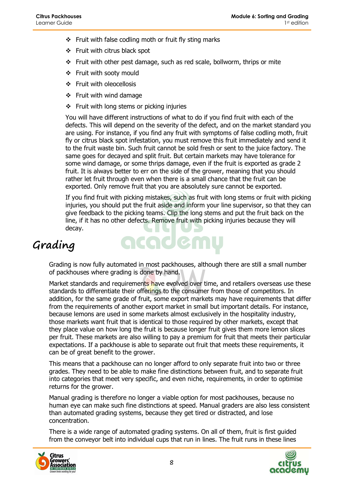- $\div$  Fruit with false codling moth or fruit fly sting marks
- $\div$  Fruit with citrus black spot
- $\div$  Fruit with other pest damage, such as red scale, bollworm, thrips or mite
- ❖ Fruit with sooty mould
- ❖ Fruit with oleocellosis
- $\div$  Fruit with wind damage
- Fruit with long stems or picking injuries

You will have different instructions of what to do if you find fruit with each of the defects. This will depend on the severity of the defect, and on the market standard you are using. For instance, if you find any fruit with symptoms of false codling moth, fruit fly or citrus black spot infestation, you must remove this fruit immediately and send it to the fruit waste bin. Such fruit cannot be sold fresh or sent to the juice factory. The same goes for decayed and split fruit. But certain markets may have tolerance for some wind damage, or some thrips damage, even if the fruit is exported as grade 2 fruit. It is always better to err on the side of the grower, meaning that you should rather let fruit through even when there is a small chance that the fruit can be exported. Only remove fruit that you are absolutely sure cannot be exported.

If you find fruit with picking mistakes, such as fruit with long stems or fruit with picking injuries, you should put the fruit aside and inform your line supervisor, so that they can give feedback to the picking teams. Clip the long stems and put the fruit back on the line, if it has no other defects. Remove fruit with picking injuries because they will decay.

# **Grading**

Grading is now fully automated in most packhouses, although there are still a small number of packhouses where grading is done by hand.

acaden

Market standards and requirements have evolved over time, and retailers overseas use these standards to differentiate their offerings to the consumer from those of competitors. In addition, for the same grade of fruit, some export markets may have requirements that differ from the requirements of another export market in small but important details. For instance, because lemons are used in some markets almost exclusively in the hospitality industry, those markets want fruit that is identical to those required by other markets, except that they place value on how long the fruit is because longer fruit gives them more lemon slices per fruit. These markets are also willing to pay a premium for fruit that meets their particular expectations. If a packhouse is able to separate out fruit that meets these requirements, it can be of great benefit to the grower.

This means that a packhouse can no longer afford to only separate fruit into two or three grades. They need to be able to make fine distinctions between fruit, and to separate fruit into categories that meet very specific, and even niche, requirements, in order to optimise returns for the grower.

Manual grading is therefore no longer a viable option for most packhouses, because no human eye can make such fine distinctions at speed. Manual graders are also less consistent than automated grading systems, because they get tired or distracted, and lose concentration.

There is a wide range of automated grading systems. On all of them, fruit is first guided from the conveyor belt into individual cups that run in lines. The fruit runs in these lines